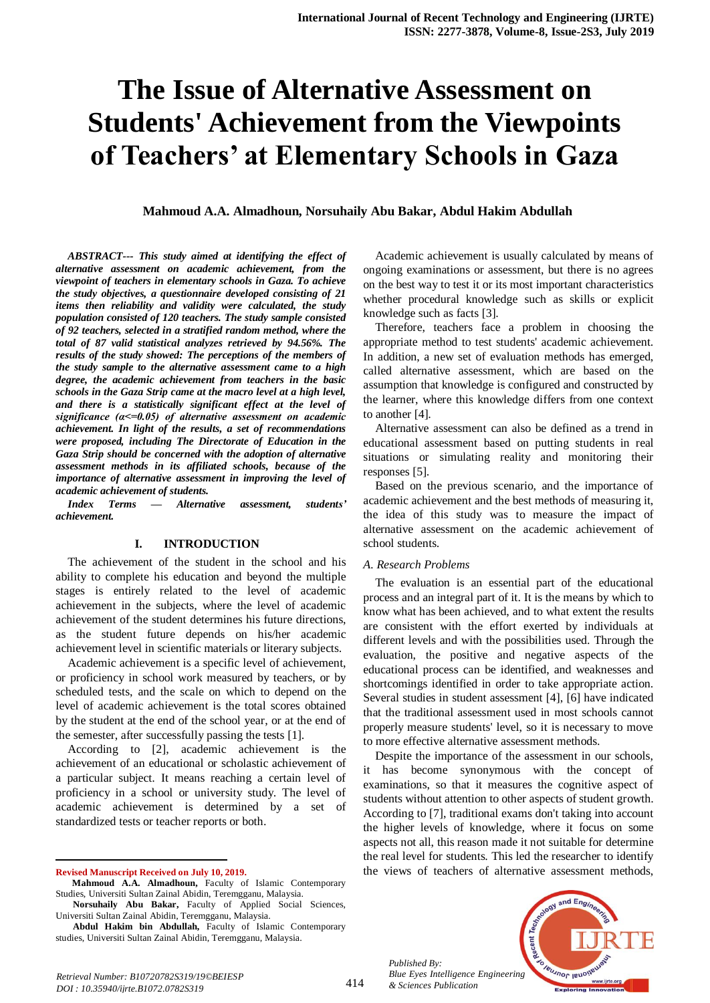# **The Issue of Alternative Assessment on Students' Achievement from the Viewpoints of Teachers' at Elementary Schools in Gaza**

**Mahmoud A.A. Almadhoun, Norsuhaily Abu Bakar, Abdul Hakim Abdullah**

*ABSTRACT--- This study aimed at identifying the effect of alternative assessment on academic achievement, from the viewpoint of teachers in elementary schools in Gaza. To achieve the study objectives, a questionnaire developed consisting of 21 items then reliability and validity were calculated, the study population consisted of 120 teachers. The study sample consisted of 92 teachers, selected in a stratified random method, where the total of 87 valid statistical analyzes retrieved by 94.56%. The results of the study showed: The perceptions of the members of the study sample to the alternative assessment came to a high degree, the academic achievement from teachers in the basic schools in the Gaza Strip came at the macro level at a high level, and there is a statistically significant effect at the level of significance (α<=0.05) of alternative assessment on academic achievement. In light of the results, a set of recommendations were proposed, including The Directorate of Education in the Gaza Strip should be concerned with the adoption of alternative assessment methods in its affiliated schools, because of the importance of alternative assessment in improving the level of academic achievement of students.*

*Index Terms — Alternative assessment, students' achievement.*

#### **I. INTRODUCTION**

The achievement of the student in the school and his ability to complete his education and beyond the multiple stages is entirely related to the level of academic achievement in the subjects, where the level of academic achievement of the student determines his future directions, as the student future depends on his/her academic achievement level in scientific materials or literary subjects.

Academic achievement is a specific level of achievement, or proficiency in school work measured by teachers, or by scheduled tests, and the scale on which to depend on the level of academic achievement is the total scores obtained by the student at the end of the school year, or at the end of the semester, after successfully passing the tests [1].

According to [2], academic achievement is the achievement of an educational or scholastic achievement of a particular subject. It means reaching a certain level of proficiency in a school or university study. The level of academic achievement is determined by a set of standardized tests or teacher reports or both.

**Revised Manuscript Received on July 10, 2019.**

 $\overline{a}$ 

Academic achievement is usually calculated by means of ongoing examinations or assessment, but there is no agrees on the best way to test it or its most important characteristics whether procedural knowledge such as skills or explicit knowledge such as facts [3].

Therefore, teachers face a problem in choosing the appropriate method to test students' academic achievement. In addition, a new set of evaluation methods has emerged, called alternative assessment, which are based on the assumption that knowledge is configured and constructed by the learner, where this knowledge differs from one context to another [4].

Alternative assessment can also be defined as a trend in educational assessment based on putting students in real situations or simulating reality and monitoring their responses [5].

Based on the previous scenario, and the importance of academic achievement and the best methods of measuring it, the idea of this study was to measure the impact of alternative assessment on the academic achievement of school students.

#### *A. Research Problems*

The evaluation is an essential part of the educational process and an integral part of it. It is the means by which to know what has been achieved, and to what extent the results are consistent with the effort exerted by individuals at different levels and with the possibilities used. Through the evaluation, the positive and negative aspects of the educational process can be identified, and weaknesses and shortcomings identified in order to take appropriate action. Several studies in student assessment [4], [6] have indicated that the traditional assessment used in most schools cannot properly measure students' level, so it is necessary to move to more effective alternative assessment methods.

Despite the importance of the assessment in our schools, it has become synonymous with the concept of examinations, so that it measures the cognitive aspect of students without attention to other aspects of student growth. According to [7], traditional exams don't taking into account the higher levels of knowledge, where it focus on some aspects not all, this reason made it not suitable for determine the real level for students. This led the researcher to identify the views of teachers of alternative assessment methods,

*Published By: Blue Eyes Intelligence Engineering & Sciences Publication* 



**Mahmoud A.A. Almadhoun,** Faculty of Islamic Contemporary Studies, Universiti Sultan Zainal Abidin, Teremgganu, Malaysia.

**Norsuhaily Abu Bakar,** Faculty of Applied Social Sciences, Universiti Sultan Zainal Abidin, Teremgganu, Malaysia.

**Abdul Hakim bin Abdullah,** Faculty of Islamic Contemporary studies, Universiti Sultan Zainal Abidin, Teremgganu, Malaysia.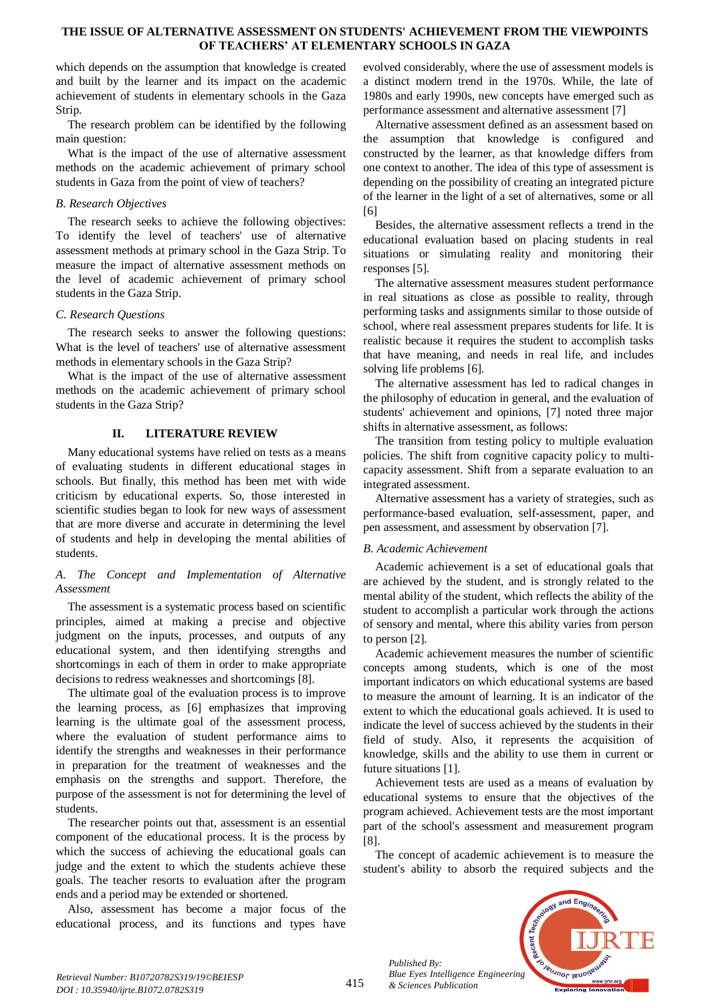#### **THE ISSUE OF ALTERNATIVE ASSESSMENT ON STUDENTS' ACHIEVEMENT FROM THE VIEWPOINTS OF TEACHERS' AT ELEMENTARY SCHOOLS IN GAZA**

which depends on the assumption that knowledge is created and built by the learner and its impact on the academic achievement of students in elementary schools in the Gaza Strip.

The research problem can be identified by the following main question:

What is the impact of the use of alternative assessment methods on the academic achievement of primary school students in Gaza from the point of view of teachers?

# *B. Research Objectives*

The research seeks to achieve the following objectives: To identify the level of teachers' use of alternative assessment methods at primary school in the Gaza Strip. To measure the impact of alternative assessment methods on the level of academic achievement of primary school students in the Gaza Strip.

# *C. Research Questions*

The research seeks to answer the following questions: What is the level of teachers' use of alternative assessment methods in elementary schools in the Gaza Strip?

What is the impact of the use of alternative assessment methods on the academic achievement of primary school students in the Gaza Strip?

# **II. LITERATURE REVIEW**

Many educational systems have relied on tests as a means of evaluating students in different educational stages in schools. But finally, this method has been met with wide criticism by educational experts. So, those interested in scientific studies began to look for new ways of assessment that are more diverse and accurate in determining the level of students and help in developing the mental abilities of students.

# *A. The Concept and Implementation of Alternative Assessment*

The assessment is a systematic process based on scientific principles, aimed at making a precise and objective judgment on the inputs, processes, and outputs of any educational system, and then identifying strengths and shortcomings in each of them in order to make appropriate decisions to redress weaknesses and shortcomings [8].

The ultimate goal of the evaluation process is to improve the learning process, as [6] emphasizes that improving learning is the ultimate goal of the assessment process, where the evaluation of student performance aims to identify the strengths and weaknesses in their performance in preparation for the treatment of weaknesses and the emphasis on the strengths and support. Therefore, the purpose of the assessment is not for determining the level of students.

The researcher points out that, assessment is an essential component of the educational process. It is the process by which the success of achieving the educational goals can judge and the extent to which the students achieve these goals. The teacher resorts to evaluation after the program ends and a period may be extended or shortened.

Also, assessment has become a major focus of the educational process, and its functions and types have

evolved considerably, where the use of assessment models is a distinct modern trend in the 1970s. While, the late of 1980s and early 1990s, new concepts have emerged such as performance assessment and alternative assessment [7]

Alternative assessment defined as an assessment based on the assumption that knowledge is configured and constructed by the learner, as that knowledge differs from one context to another. The idea of this type of assessment is depending on the possibility of creating an integrated picture of the learner in the light of a set of alternatives, some or all [6]

Besides, the alternative assessment reflects a trend in the educational evaluation based on placing students in real situations or simulating reality and monitoring their responses [5].

The alternative assessment measures student performance in real situations as close as possible to reality, through performing tasks and assignments similar to those outside of school, where real assessment prepares students for life. It is realistic because it requires the student to accomplish tasks that have meaning, and needs in real life, and includes solving life problems [6].

The alternative assessment has led to radical changes in the philosophy of education in general, and the evaluation of students' achievement and opinions, [7] noted three major shifts in alternative assessment, as follows:

The transition from testing policy to multiple evaluation policies. The shift from cognitive capacity policy to multicapacity assessment. Shift from a separate evaluation to an integrated assessment.

Alternative assessment has a variety of strategies, such as performance-based evaluation, self-assessment, paper, and pen assessment, and assessment by observation [7].

# *B. Academic Achievement*

Academic achievement is a set of educational goals that are achieved by the student, and is strongly related to the mental ability of the student, which reflects the ability of the student to accomplish a particular work through the actions of sensory and mental, where this ability varies from person to person [2].

Academic achievement measures the number of scientific concepts among students, which is one of the most important indicators on which educational systems are based to measure the amount of learning. It is an indicator of the extent to which the educational goals achieved. It is used to indicate the level of success achieved by the students in their field of study. Also, it represents the acquisition of knowledge, skills and the ability to use them in current or future situations [1].

Achievement tests are used as a means of evaluation by educational systems to ensure that the objectives of the program achieved. Achievement tests are the most important part of the school's assessment and measurement program [8].

The concept of academic achievement is to measure the student's ability to absorb the required subjects and the



*Retrieval Number: B10720782S319/19©BEIESP DOI : 10.35940/ijrte.B1072.0782S319*

*Published By:*

*& Sciences Publication*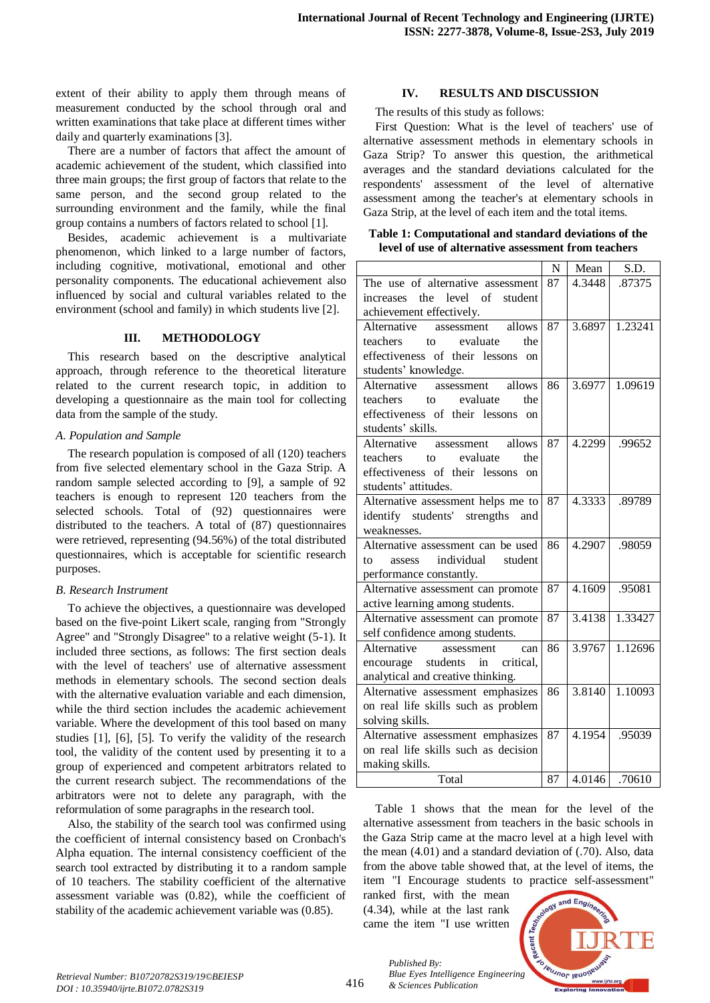extent of their ability to apply them through means of measurement conducted by the school through oral and written examinations that take place at different times wither daily and quarterly examinations [3].

There are a number of factors that affect the amount of academic achievement of the student, which classified into three main groups; the first group of factors that relate to the same person, and the second group related to the surrounding environment and the family, while the final group contains a numbers of factors related to school [1].

Besides, academic achievement is a multivariate phenomenon, which linked to a large number of factors, including cognitive, motivational, emotional and other personality components. The educational achievement also influenced by social and cultural variables related to the environment (school and family) in which students live [2].

#### **III. METHODOLOGY**

This research based on the descriptive analytical approach, through reference to the theoretical literature related to the current research topic, in addition to developing a questionnaire as the main tool for collecting data from the sample of the study.

# *A. Population and Sample*

The research population is composed of all (120) teachers from five selected elementary school in the Gaza Strip. A random sample selected according to [9], a sample of 92 teachers is enough to represent 120 teachers from the selected schools. Total of (92) questionnaires were distributed to the teachers. A total of (87) questionnaires were retrieved, representing (94.56%) of the total distributed questionnaires, which is acceptable for scientific research purposes.

# *B. Research Instrument*

To achieve the objectives, a questionnaire was developed based on the five-point Likert scale, ranging from "Strongly Agree" and "Strongly Disagree" to a relative weight (5-1). It included three sections, as follows: The first section deals with the level of teachers' use of alternative assessment methods in elementary schools. The second section deals with the alternative evaluation variable and each dimension, while the third section includes the academic achievement variable. Where the development of this tool based on many studies [1], [6], [5]. To verify the validity of the research tool, the validity of the content used by presenting it to a group of experienced and competent arbitrators related to the current research subject. The recommendations of the arbitrators were not to delete any paragraph, with the reformulation of some paragraphs in the research tool.

Also, the stability of the search tool was confirmed using the coefficient of internal consistency based on Cronbach's Alpha equation. The internal consistency coefficient of the search tool extracted by distributing it to a random sample of 10 teachers. The stability coefficient of the alternative assessment variable was (0.82), while the coefficient of stability of the academic achievement variable was (0.85).

#### **IV. RESULTS AND DISCUSSION**

The results of this study as follows:

First Question: What is the level of teachers' use of alternative assessment methods in elementary schools in Gaza Strip? To answer this question, the arithmetical averages and the standard deviations calculated for the respondents' assessment of the level of alternative assessment among the teacher's at elementary schools in Gaza Strip, at the level of each item and the total items.

#### **Table 1: Computational and standard deviations of the level of use of alternative assessment from teachers**

|                                              | N  | Mean   | S.D.          |
|----------------------------------------------|----|--------|---------------|
| The use of alternative assessment            | 87 | 4.3448 | .87375        |
| the<br>level of<br>student<br>increases      |    |        |               |
| achievement effectively.                     |    |        |               |
| Alternative<br>assessment<br>allows          | 87 | 3.6897 | 1.23241       |
| evaluate<br>teachers<br>$\mathsf{to}$<br>the |    |        |               |
| effectiveness of their lessons on            |    |        |               |
| students' knowledge.                         |    |        |               |
| assessment allows<br>Alternative             | 86 | 3.6977 | 1.09619       |
| teachers<br>to evaluate<br>the               |    |        |               |
| effectiveness of their lessons on            |    |        |               |
| students' skills.                            |    |        |               |
| assessment allows<br>Alternative             | 87 | 4.2299 | .99652        |
| to evaluate<br>the<br>teachers               |    |        |               |
| effectiveness of their lessons on            |    |        |               |
| students' attitudes.                         |    |        |               |
| Alternative assessment helps me to           | 87 | 4.3333 | .89789        |
| identify students' strengths and             |    |        |               |
| weaknesses.                                  |    |        |               |
| Alternative assessment can be used           | 86 | 4.2907 | .98059        |
| individual<br>student<br>to<br>assess        |    |        |               |
| performance constantly.                      |    |        |               |
| Alternative assessment can promote           | 87 | 4.1609 | .95081        |
| active learning among students.              |    |        |               |
| Alternative assessment can promote           | 87 | 3.4138 | 1.33427       |
| self confidence among students.              |    |        |               |
| Alternative<br>assessment<br>can             | 86 | 3.9767 | 1.12696       |
| encourage students in critical,              |    |        |               |
| analytical and creative thinking.            |    |        |               |
| Alternative assessment emphasizes            | 86 | 3.8140 | 1.10093       |
| on real life skills such as problem          |    |        |               |
| solving skills.                              |    |        |               |
| Alternative assessment emphasizes            | 87 | 4.1954 | .95039        |
| on real life skills such as decision         |    |        |               |
| making skills.                               |    |        |               |
| Total                                        | 87 |        | 4.0146 .70610 |

Table 1 shows that the mean for the level of the alternative assessment from teachers in the basic schools in the Gaza Strip came at the macro level at a high level with the mean (4.01) and a standard deviation of (.70). Also, data from the above table showed that, at the level of items, the item "I Encourage students to practice self-assessment"

ranked first, with the mean (4.34), while at the last rank came the item "I use written

*& Sciences Publication* 

*Published By:*



*Retrieval Number: B10720782S319/19©BEIESP DOI : 10.35940/ijrte.B1072.0782S319*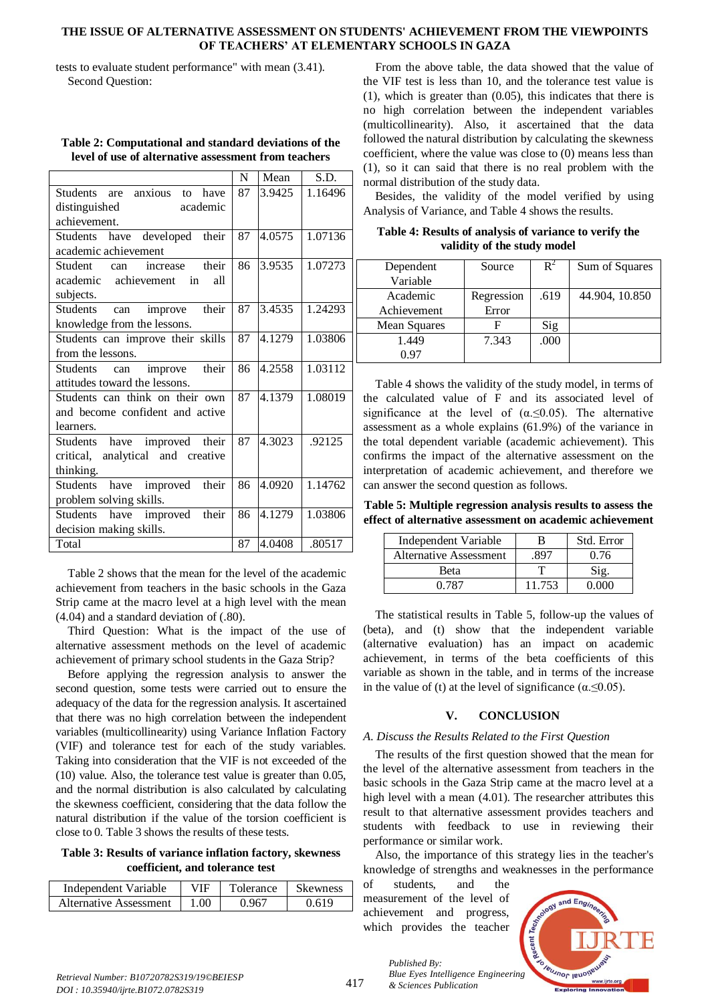#### **THE ISSUE OF ALTERNATIVE ASSESSMENT ON STUDENTS' ACHIEVEMENT FROM THE VIEWPOINTS OF TEACHERS' AT ELEMENTARY SCHOOLS IN GAZA**

tests to evaluate student performance" with mean (3.41). Second Question:

|                                                 | N  | Mean   | S.D.    |
|-------------------------------------------------|----|--------|---------|
| anxious<br><b>Students</b><br>have<br>are<br>to | 87 | 3.9425 | 1.16496 |
| distinguished<br>academic                       |    |        |         |
| achievement.                                    |    |        |         |
| Students have developed their                   | 87 | 4.0575 | 1.07136 |
| academic achievement                            |    |        |         |
| <b>Student</b><br>their<br>increase<br>can      | 86 | 3.9535 | 1.07273 |
| achievement<br>academic<br>all<br>in            |    |        |         |
| subjects.                                       |    |        |         |
| their<br><b>Students</b><br>improve<br>can      | 87 | 3.4535 | 1.24293 |
| knowledge from the lessons.                     |    |        |         |
| Students can improve their skills               | 87 | 4.1279 | 1.03806 |
| from the lessons.                               |    |        |         |
| their<br><b>Students</b><br>improve<br>can      | 86 | 4.2558 | 1.03112 |
| attitudes toward the lessons.                   |    |        |         |
| Students can think on their own                 | 87 | 4.1379 | 1.08019 |
| and become confident and active                 |    |        |         |
| learners.                                       |    |        |         |
| improved their<br>have<br><b>Students</b>       | 87 | 4.3023 | .92125  |
| analytical and creative<br>critical,            |    |        |         |
| thinking.                                       |    |        |         |
| improved<br>their<br><b>Students</b><br>have    | 86 | 4.0920 | 1.14762 |
| problem solving skills.                         |    |        |         |
| their<br>improved<br><b>Students</b><br>have    | 86 | 4.1279 | 1.03806 |
| decision making skills.                         |    |        |         |
| Total                                           | 87 | 4.0408 | .80517  |

**Table 2: Computational and standard deviations of the level of use of alternative assessment from teachers**

Table 2 shows that the mean for the level of the academic achievement from teachers in the basic schools in the Gaza Strip came at the macro level at a high level with the mean (4.04) and a standard deviation of (.80).

Third Question: What is the impact of the use of alternative assessment methods on the level of academic achievement of primary school students in the Gaza Strip?

Before applying the regression analysis to answer the second question, some tests were carried out to ensure the adequacy of the data for the regression analysis. It ascertained that there was no high correlation between the independent variables (multicollinearity) using Variance Inflation Factory (VIF) and tolerance test for each of the study variables. Taking into consideration that the VIF is not exceeded of the (10) value. Also, the tolerance test value is greater than 0.05, and the normal distribution is also calculated by calculating the skewness coefficient, considering that the data follow the natural distribution if the value of the torsion coefficient is close to 0. Table 3 shows the results of these tests.

**Table 3: Results of variance inflation factory, skewness coefficient, and tolerance test**

| Independent Variable   | VIF  | Tolerance | <b>Skewness</b> |
|------------------------|------|-----------|-----------------|
| Alternative Assessment | 1.00 | 0.967     | 0.619           |

From the above table, the data showed that the value of the VIF test is less than 10, and the tolerance test value is (1), which is greater than (0.05), this indicates that there is no high correlation between the independent variables (multicollinearity). Also, it ascertained that the data followed the natural distribution by calculating the skewness coefficient, where the value was close to (0) means less than (1), so it can said that there is no real problem with the normal distribution of the study data.

Besides, the validity of the model verified by using Analysis of Variance, and Table 4 shows the results.

**Table 4: Results of analysis of variance to verify the validity of the study model**

| Dependent    | Source     | $R^2$ | Sum of Squares |
|--------------|------------|-------|----------------|
| Variable     |            |       |                |
| Academic     | Regression | .619  | 44.904, 10.850 |
| Achievement  | Error      |       |                |
| Mean Squares |            | Sig   |                |
| 1.449        | 7.343      | .000  |                |
| 0.97         |            |       |                |

Table 4 shows the validity of the study model, in terms of the calculated value of F and its associated level of significance at the level of  $(\alpha \le 0.05)$ . The alternative assessment as a whole explains (61.9%) of the variance in the total dependent variable (academic achievement). This confirms the impact of the alternative assessment on the interpretation of academic achievement, and therefore we can answer the second question as follows.

**Table 5: Multiple regression analysis results to assess the effect of alternative assessment on academic achievement**

| Independent Variable          |        | Std. Error |
|-------------------------------|--------|------------|
| <b>Alternative Assessment</b> |        | 0.76       |
| Beta                          |        |            |
| በ 787                         | 11.753 |            |

The statistical results in Table 5, follow-up the values of (beta), and (t) show that the independent variable (alternative evaluation) has an impact on academic achievement, in terms of the beta coefficients of this variable as shown in the table, and in terms of the increase in the value of (t) at the level of significance ( $\alpha \leq 0.05$ ).

# **V. CONCLUSION**

# *A. Discuss the Results Related to the First Question*

The results of the first question showed that the mean for the level of the alternative assessment from teachers in the basic schools in the Gaza Strip came at the macro level at a high level with a mean (4.01). The researcher attributes this result to that alternative assessment provides teachers and students with feedback to use in reviewing their performance or similar work.

Also, the importance of this strategy lies in the teacher's knowledge of strengths and weaknesses in the performance

of students, and the measurement of the level of achievement and progress, which provides the teacher

*& Sciences Publication* 

*Published By:*